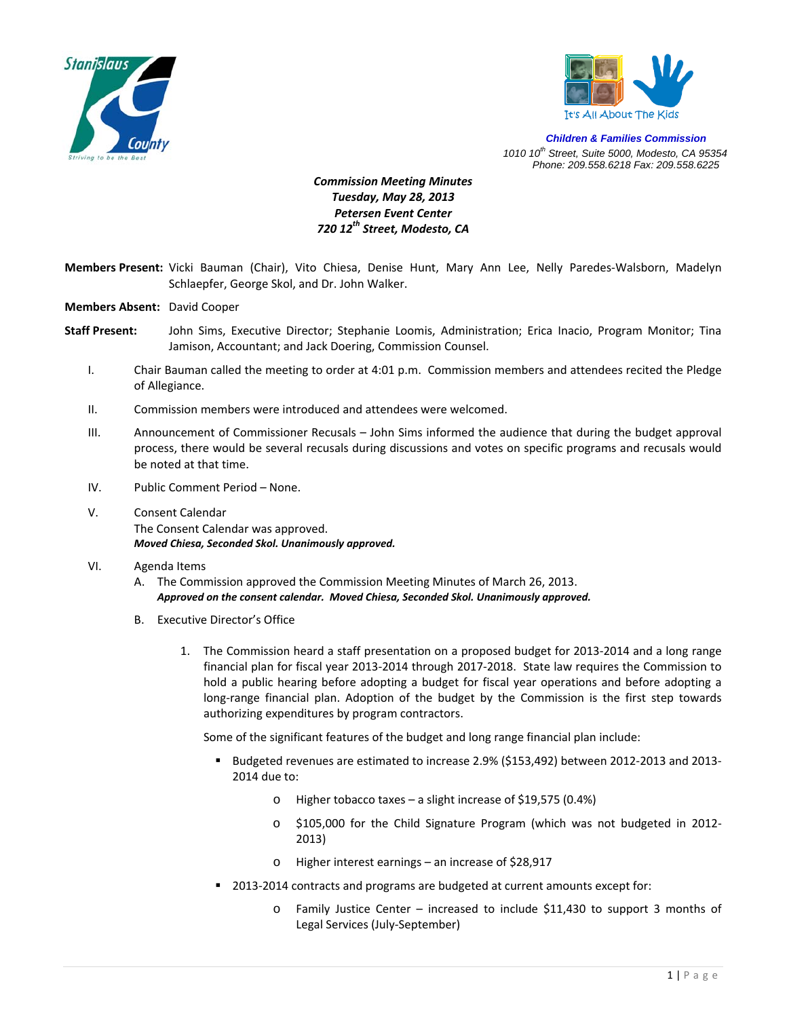



*Children & Families Commission 1010 10th Street, Suite 5000, Modesto, CA 95354 Phone: 209.558.6218 Fax: 209.558.6225*

## *Commission Meeting Minutes Tuesday, May 28, 2013 Petersen Event Center 720 12th Street, Modesto, CA*

- **Members Present:** Vicki Bauman (Chair), Vito Chiesa, Denise Hunt, Mary Ann Lee, Nelly Paredes‐Walsborn, Madelyn Schlaepfer, George Skol, and Dr. John Walker.
- **Members Absent:** David Cooper
- **Staff Present:** John Sims, Executive Director; Stephanie Loomis, Administration; Erica Inacio, Program Monitor; Tina Jamison, Accountant; and Jack Doering, Commission Counsel.
	- I. Chair Bauman called the meeting to order at 4:01 p.m. Commission members and attendees recited the Pledge of Allegiance.
	- II. Commission members were introduced and attendees were welcomed.
	- III. Announcement of Commissioner Recusals John Sims informed the audience that during the budget approval process, there would be several recusals during discussions and votes on specific programs and recusals would be noted at that time.
	- IV. Public Comment Period None.
	- V. Consent Calendar The Consent Calendar was approved. *Moved Chiesa, Seconded Skol. Unanimously approved.*
	- VI. Agenda Items
		- A. The Commission approved the Commission Meeting Minutes of March 26, 2013. *Approved on the consent calendar. Moved Chiesa, Seconded Skol. Unanimously approved.*
		- B. Executive Director's Office
			- 1. The Commission heard a staff presentation on a proposed budget for 2013‐2014 and a long range financial plan for fiscal year 2013‐2014 through 2017‐2018. State law requires the Commission to hold a public hearing before adopting a budget for fiscal year operations and before adopting a long-range financial plan. Adoption of the budget by the Commission is the first step towards authorizing expenditures by program contractors.

Some of the significant features of the budget and long range financial plan include:

- Budgeted revenues are estimated to increase 2.9% (\$153,492) between 2012-2013 and 2013-2014 due to:
	- o Higher tobacco taxes a slight increase of \$19,575 (0.4%)
	- o \$105,000 for the Child Signature Program (which was not budgeted in 2012‐ 2013)
	- o Higher interest earnings an increase of \$28,917
- 2013-2014 contracts and programs are budgeted at current amounts except for:
	- o Family Justice Center increased to include \$11,430 to support 3 months of Legal Services (July‐September)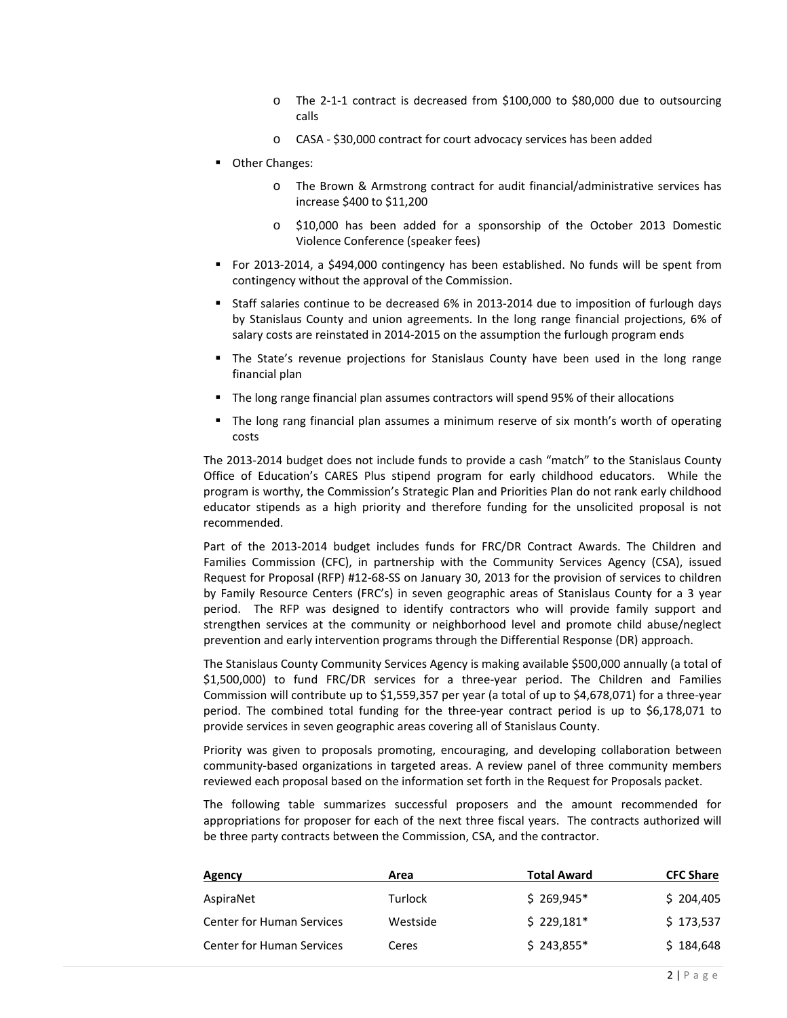- o The 2‐1‐1 contract is decreased from \$100,000 to \$80,000 due to outsourcing calls
- o CASA ‐ \$30,000 contract for court advocacy services has been added
- **Other Changes:** 
	- o The Brown & Armstrong contract for audit financial/administrative services has increase \$400 to \$11,200
	- o \$10,000 has been added for a sponsorship of the October 2013 Domestic Violence Conference (speaker fees)
- For 2013-2014, a \$494,000 contingency has been established. No funds will be spent from contingency without the approval of the Commission.
- Staff salaries continue to be decreased 6% in 2013-2014 due to imposition of furlough days by Stanislaus County and union agreements. In the long range financial projections, 6% of salary costs are reinstated in 2014‐2015 on the assumption the furlough program ends
- The State's revenue projections for Stanislaus County have been used in the long range financial plan
- The long range financial plan assumes contractors will spend 95% of their allocations
- The long rang financial plan assumes a minimum reserve of six month's worth of operating costs

The 2013‐2014 budget does not include funds to provide a cash "match" to the Stanislaus County Office of Education's CARES Plus stipend program for early childhood educators. While the program is worthy, the Commission's Strategic Plan and Priorities Plan do not rank early childhood educator stipends as a high priority and therefore funding for the unsolicited proposal is not recommended.

Part of the 2013‐2014 budget includes funds for FRC/DR Contract Awards. The Children and Families Commission (CFC), in partnership with the Community Services Agency (CSA), issued Request for Proposal (RFP) #12‐68‐SS on January 30, 2013 for the provision of services to children by Family Resource Centers (FRC's) in seven geographic areas of Stanislaus County for a 3 year period. The RFP was designed to identify contractors who will provide family support and strengthen services at the community or neighborhood level and promote child abuse/neglect prevention and early intervention programs through the Differential Response (DR) approach.

The Stanislaus County Community Services Agency is making available \$500,000 annually (a total of \$1,500,000) to fund FRC/DR services for a three‐year period. The Children and Families Commission will contribute up to \$1,559,357 per year (a total of up to \$4,678,071) for a three‐year period. The combined total funding for the three-year contract period is up to \$6,178,071 to provide services in seven geographic areas covering all of Stanislaus County.

Priority was given to proposals promoting, encouraging, and developing collaboration between community‐based organizations in targeted areas. A review panel of three community members reviewed each proposal based on the information set forth in the Request for Proposals packet.

The following table summarizes successful proposers and the amount recommended for appropriations for proposer for each of the next three fiscal years. The contracts authorized will be three party contracts between the Commission, CSA, and the contractor.

| Agency                           | Area     | Total Award | <b>CFC Share</b> |
|----------------------------------|----------|-------------|------------------|
| AspiraNet                        | Turlock  | $$269,945*$ | \$204,405        |
| <b>Center for Human Services</b> | Westside | $$229.181*$ | \$173,537        |
| <b>Center for Human Services</b> | Ceres    | $$243,855*$ | \$184,648        |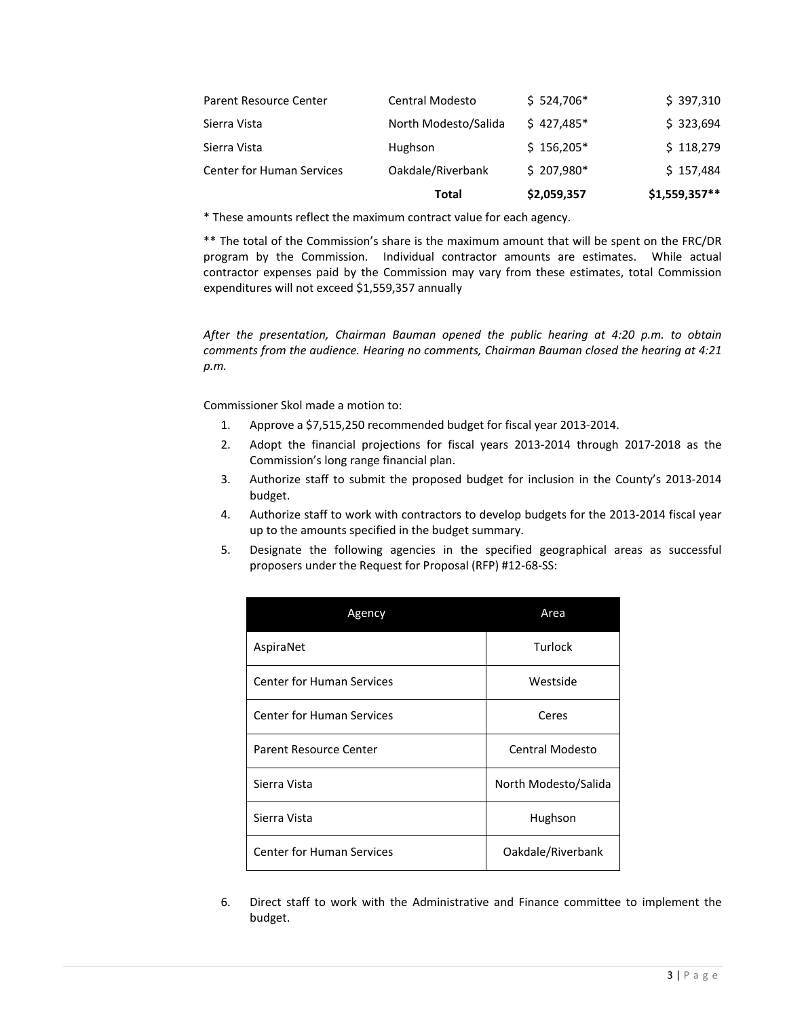|                                  | Total                | \$2,059,357 | $$1,559,357**$ |
|----------------------------------|----------------------|-------------|----------------|
| <b>Center for Human Services</b> | Oakdale/Riverbank    | $$207,980*$ | \$157,484      |
| Sierra Vista                     | Hughson              | $$156,205*$ | \$118,279      |
| Sierra Vista                     | North Modesto/Salida | $$427.485*$ | \$323,694      |
| Parent Resource Center           | Central Modesto      | $$524,706*$ | \$397,310      |

\* These amounts reflect the maximum contract value for each agency.

\*\* The total of the Commission's share is the maximum amount that will be spent on the FRC/DR program by the Commission. Individual contractor amounts are estimates. While actual contractor expenses paid by the Commission may vary from these estimates, total Commission expenditures will not exceed \$1,559,357 annually

*After the presentation, Chairman Bauman opened the public hearing at 4:20 p.m. to obtain comments from the audience. Hearing no comments, Chairman Bauman closed the hearing at 4:21 p.m.*

Commissioner Skol made a motion to:

- 1. Approve a \$7,515,250 recommended budget for fiscal year 2013‐2014.
- 2. Adopt the financial projections for fiscal years 2013‐2014 through 2017‐2018 as the Commission's long range financial plan.
- 3. Authorize staff to submit the proposed budget for inclusion in the County's 2013‐2014 budget.
- 4. Authorize staff to work with contractors to develop budgets for the 2013-2014 fiscal year up to the amounts specified in the budget summary.
- 5. Designate the following agencies in the specified geographical areas as successful proposers under the Request for Proposal (RFP) #12‐68‐SS:

| Agency                           | Area                 |  |
|----------------------------------|----------------------|--|
| AspiraNet                        | Turlock              |  |
| <b>Center for Human Services</b> | Westside             |  |
| <b>Center for Human Services</b> | Ceres                |  |
| <b>Parent Resource Center</b>    | Central Modesto      |  |
| Sierra Vista                     | North Modesto/Salida |  |
| Sierra Vista                     | Hughson              |  |
| <b>Center for Human Services</b> | Oakdale/Riverbank    |  |

6. Direct staff to work with the Administrative and Finance committee to implement the budget.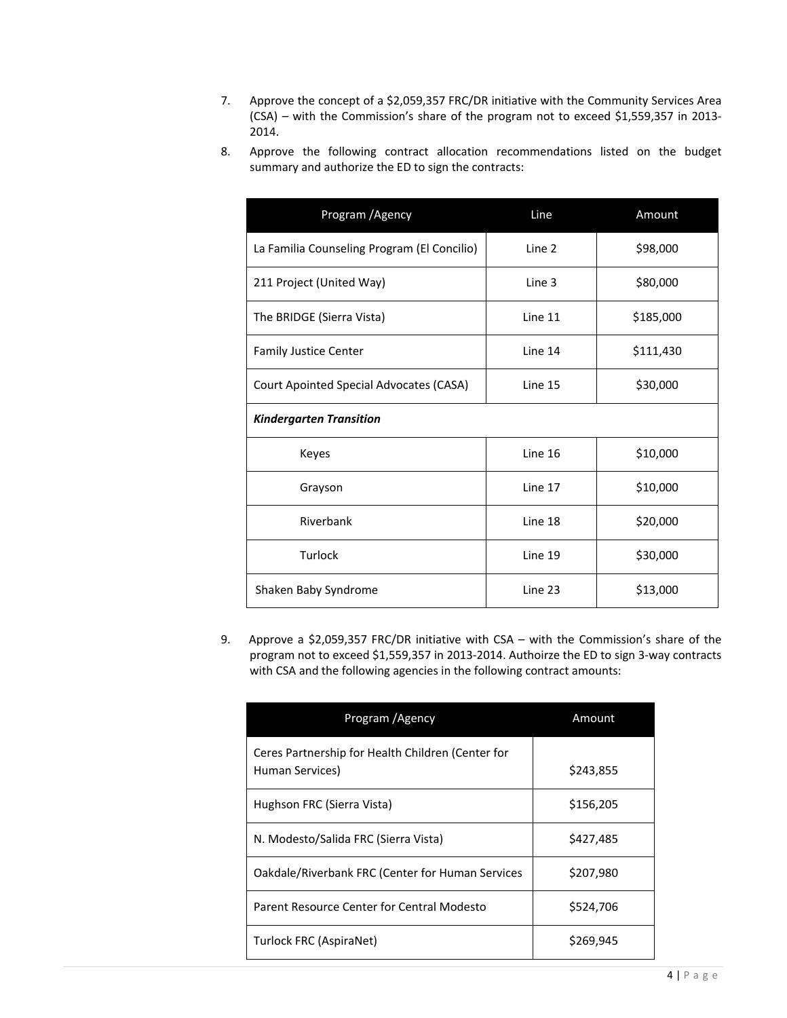- 7. Approve the concept of a \$2,059,357 FRC/DR initiative with the Community Services Area (CSA) – with the Commission's share of the program not to exceed \$1,559,357 in 2013‐ 2014.
- 8. Approve the following contract allocation recommendations listed on the budget summary and authorize the ED to sign the contracts:

| Program / Agency                            | Line    | Amount    |  |
|---------------------------------------------|---------|-----------|--|
| La Familia Counseling Program (El Concilio) | Line 2  | \$98,000  |  |
| 211 Project (United Way)                    | Line 3  | \$80,000  |  |
| The BRIDGE (Sierra Vista)                   | Line 11 | \$185,000 |  |
| <b>Family Justice Center</b>                | Line 14 | \$111,430 |  |
| Court Apointed Special Advocates (CASA)     | Line 15 | \$30,000  |  |
| <b>Kindergarten Transition</b>              |         |           |  |
| Keyes                                       | Line 16 | \$10,000  |  |
| Grayson                                     | Line 17 | \$10,000  |  |
| Riverbank                                   | Line 18 | \$20,000  |  |
| Turlock                                     | Line 19 | \$30,000  |  |
| Shaken Baby Syndrome                        | Line 23 | \$13,000  |  |

9. Approve a \$2,059,357 FRC/DR initiative with CSA – with the Commission's share of the program not to exceed \$1,559,357 in 2013‐2014. Authoirze the ED to sign 3‐way contracts with CSA and the following agencies in the following contract amounts:

| Program / Agency                                                     | Amount    |
|----------------------------------------------------------------------|-----------|
| Ceres Partnership for Health Children (Center for<br>Human Services) | \$243,855 |
| Hughson FRC (Sierra Vista)                                           | \$156,205 |
| N. Modesto/Salida FRC (Sierra Vista)                                 | \$427,485 |
| Oakdale/Riverbank FRC (Center for Human Services                     | \$207,980 |
| Parent Resource Center for Central Modesto                           | \$524,706 |
| Turlock FRC (AspiraNet)                                              | \$269,945 |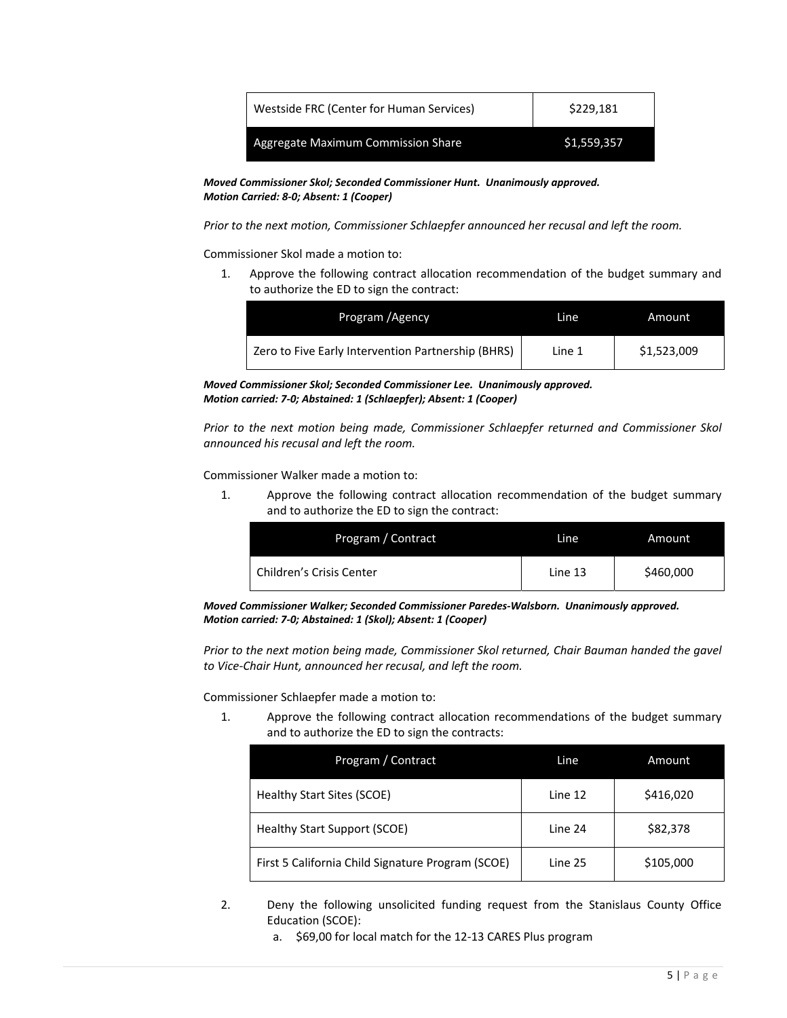| Westside FRC (Center for Human Services) | \$229.181   |
|------------------------------------------|-------------|
| Aggregate Maximum Commission Share       | \$1,559,357 |

*Moved Commissioner Skol; Seconded Commissioner Hunt. Unanimously approved. Motion Carried: 8‐0; Absent: 1 (Cooper)*

*Prior to the next motion, Commissioner Schlaepfer announced her recusal and left the room.* 

Commissioner Skol made a motion to:

1. Approve the following contract allocation recommendation of the budget summary and to authorize the ED to sign the contract:

| Program / Agency                                   | Line   | Amount      |
|----------------------------------------------------|--------|-------------|
| Zero to Five Early Intervention Partnership (BHRS) | Line 1 | \$1,523,009 |

*Moved Commissioner Skol; Seconded Commissioner Lee. Unanimously approved. Motion carried: 7‐0; Abstained: 1 (Schlaepfer); Absent: 1 (Cooper)*

*Prior to the next motion being made, Commissioner Schlaepfer returned and Commissioner Skol announced his recusal and left the room.* 

Commissioner Walker made a motion to:

1. Approve the following contract allocation recommendation of the budget summary and to authorize the ED to sign the contract:

| Program / Contract       | Line    | Amount    |
|--------------------------|---------|-----------|
| Children's Crisis Center | Line 13 | \$460,000 |

*Moved Commissioner Walker; Seconded Commissioner Paredes‐Walsborn. Unanimously approved. Motion carried: 7‐0; Abstained: 1 (Skol); Absent: 1 (Cooper)*

*Prior to the next motion being made, Commissioner Skol returned, Chair Bauman handed the gavel to Vice‐Chair Hunt, announced her recusal, and left the room.* 

Commissioner Schlaepfer made a motion to:

1. Approve the following contract allocation recommendations of the budget summary and to authorize the ED to sign the contracts:

| Program / Contract                                | Line    | Amount    |
|---------------------------------------------------|---------|-----------|
| Healthy Start Sites (SCOE)                        | Line 12 | \$416,020 |
| <b>Healthy Start Support (SCOE)</b>               | Line 24 | \$82,378  |
| First 5 California Child Signature Program (SCOE) | Line 25 | \$105,000 |

- 2. Deny the following unsolicited funding request from the Stanislaus County Office Education (SCOE):
	- a. \$69,00 for local match for the 12‐13 CARES Plus program